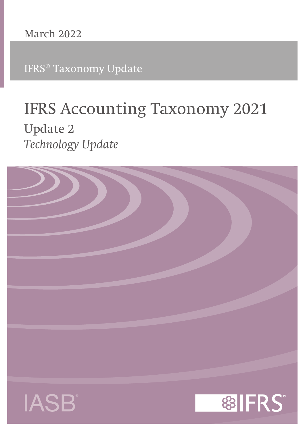IFRS® Taxonomy Update

# **IFRS Accounting Taxonomy 2021 Update 2** *Technology Update*

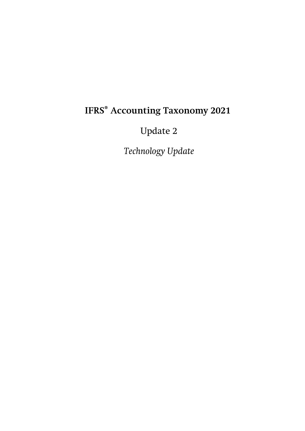# **IFRS® Accounting Taxonomy 2021**

Update 2

*Technology Update*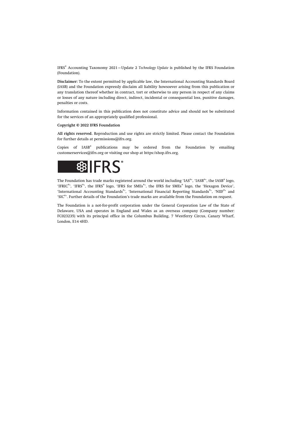IFRS® Accounting Taxonomy 2021—Update 2 *Technology Update* is published by the IFRS Foundation (Foundation).

**Disclaimer:** To the extent permitted by applicable law, the International Accounting Standards Board (IASB) and the Foundation expressly disclaim all liability howsoever arising from this publication or any translation thereof whether in contract, tort or otherwise to any person in respect of any claims or losses of any nature including direct, indirect, incidental or consequential loss, punitive damages, penalties or costs.

Information contained in this publication does not constitute advice and should not be substituted for the services of an appropriately qualified professional.

#### **Copyright © 2022 IFRS Foundation**

**All rights reserved.** Reproduction and use rights are strictly limited. Please contact the Foundation for further details at [permissions@ifrs.org](mailto:permissions@ifrs.org).

 $\text{Copies}$  of  $\text{IASB}^\circ$  publications may be ordered from the Foundation by emailing [customerservices@ifrs.org](mailto:customerservices@ifrs.org) or visiting our shop at<https://shop.ifrs.org>.



The Foundation has trade marks registered around the world including 'IAS®', 'IASB®', the IASB® logo, 'IFRIC®', 'IFRS®', the IFRS® logo, 'IFRS for SMEs®', the IFRS for SMEs® logo, the 'Hexagon Device', 'International Accounting Standards®', 'International Financial Reporting Standards®', 'NIIF®' and 'SIC®'. Further details of the Foundation's trade marks are available from the Foundation on request.

The Foundation is a not-for-profit corporation under the General Corporation Law of the State of Delaware, USA and operates in England and Wales as an overseas company (Company number: FC023235) with its principal office in the Columbus Building, 7 Westferry Circus, Canary Wharf, London, E14 4HD.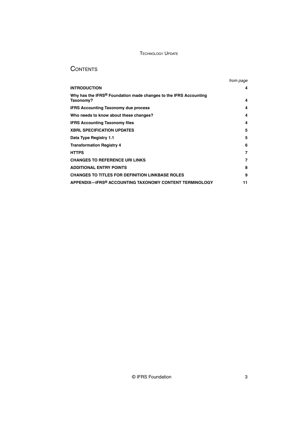## **CONTENTS**

|                                                                                           | from page |
|-------------------------------------------------------------------------------------------|-----------|
| <b>INTRODUCTION</b>                                                                       | 4         |
| Why has the IFRS <sup>®</sup> Foundation made changes to the IFRS Accounting<br>Taxonomy? | 4         |
| <b>IFRS Accounting Taxonomy due process</b>                                               | 4         |
| Who needs to know about these changes?                                                    | 4         |
| <b>IFRS Accounting Taxonomy files</b>                                                     | 4         |
| <b>XBRL SPECIFICATION UPDATES</b>                                                         | 5         |
| Data Type Registry 1.1                                                                    | 5         |
| <b>Transformation Registry 4</b>                                                          | 6         |
| <b>HTTPS</b>                                                                              | 7         |
| <b>CHANGES TO REFERENCE URI LINKS</b>                                                     | 7         |
| <b>ADDITIONAL ENTRY POINTS</b>                                                            | 8         |
| <b>CHANGES TO TITLES FOR DEFINITION LINKBASE ROLES</b>                                    | 9         |
| APPENDIX—IFRS® ACCOUNTING TAXONOMY CONTENT TERMINOLOGY                                    | 11        |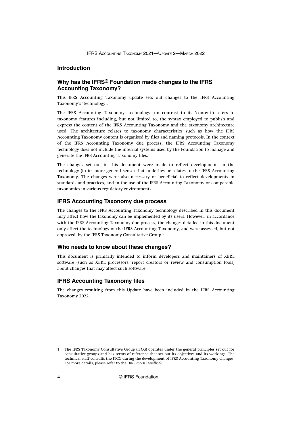#### <span id="page-4-0"></span>**Introduction**

#### **Why has the IFRS® Foundation made changes to the IFRS Accounting Taxonomy?**

This IFRS Accounting Taxonomy update sets out changes to the IFRS Accounting Taxonomy's 'technology'.

The IFRS Accounting Taxonomy 'technology' (in contrast to its 'content') refers to taxonomy features including, but not limited to, the syntax employed to publish and express the content of the IFRS Accounting Taxonomy and the taxonomy architecture used. The architecture relates to taxonomy characteristics such as how the IFRS Accounting Taxonomy content is organised by files and naming protocols. In the context of the IFRS Accounting Taxonomy due process, the IFRS Accounting Taxonomy technology does not include the internal systems used by the Foundation to manage and generate the IFRS Accounting Taxonomy files.

The changes set out in this document were made to reflect developments in the technology (in its more general sense) that underlies or relates to the IFRS Accounting Taxonomy. The changes were also necessary or beneficial to reflect developments in standards and practices, and in the use of the IFRS Accounting Taxonomy or comparable taxonomies in various regulatory environments.

#### **IFRS Accounting Taxonomy due process**

The changes to the IFRS Accounting Taxonomy technology described in this document may affect how the taxonomy can be implemented by its users. However, in accordance with the IFRS Accounting Taxonomy due process, the changes detailed in this document only affect the technology of the IFRS Accounting Taxonomy, and were assessed, but not approved, by the IFRS Taxonomy Consultative Group.<sup>1</sup>

#### **Who needs to know about these changes?**

This document is primarily intended to inform developers and maintainers of XBRL software (such as XBRL processors, report creators or review and consumption tools) about changes that may affect such software.

#### **IFRS Accounting Taxonomy files**

The changes resulting from this Update have been included in the IFRS Accounting Taxonomy 2022.

<sup>1</sup> The IFRS Taxonomy Consultative Group (ITCG) operates under the general principles set out for consultative groups and has terms of reference that set out its objectives and its workings. The technical staff consults the ITCG during the development of IFRS Accounting Taxonomy changes. For more details, please refer to the *[Due Process Handbook](https://www.ifrs.org/content/dam/ifrs/about-us/legal-and-governance/constitution-docs/due-process-handbook-2020.pdf)*.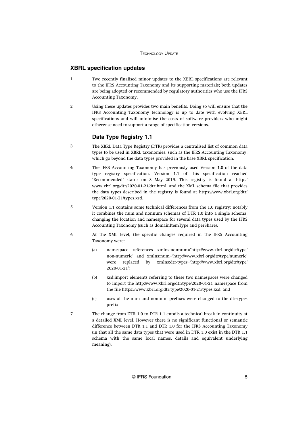#### <span id="page-5-0"></span>**XBRL specification updates**

- Two recently finalised minor updates to the XBRL specifications are relevant to the IFRS Accounting Taxonomy and its supporting materials; both updates are being adopted or recommended by regulatory authorities who use the IFRS Accounting Taxonomy. 1
- Using these updates provides two main benefits. Doing so will ensure that the IFRS Accounting Taxonomy technology is up to date with evolving XBRL specifications and will minimise the costs of software providers who might otherwise need to support a range of specification versions.  $\overline{2}$

#### **Data Type Registry 1.1**

- The XBRL Data Type Registry (DTR) provides a centralised list of common data types to be used in XBRL taxonomies, such as the IFRS Accounting Taxonomy, which go beyond the data types provided in the base XBRL specification. 3
- The IFRS Accounting Taxonomy has previously used Version 1.0 of the data type registry specification. Version 1.1 of this specification reached 'Recommended' status on 8 May 2019. This registry is found at [http://](http://www.xbrl.org/dtr/2020-01-21/dtr.html) [www.xbrl.org/dtr/2020-01-21/dtr.html,](http://www.xbrl.org/dtr/2020-01-21/dtr.html) and the XML schema file that provides the data types described in the registry is found at [https://www.xbrl.org/dtr/](https://www.xbrl.org/dtr/type/2020-01-21/types.xsd) [type/2020-01-21/types.xsd](https://www.xbrl.org/dtr/type/2020-01-21/types.xsd). 4
- Version 1.1 contains some technical differences from the 1.0 registry; notably it combines the num and nonnum schemas of DTR 1.0 into a single schema, changing the location and namespace for several data types used by the IFRS Accounting Taxonomy (such as domainItemType and perShare). 5
- At the XML level, the specific changes required in the IFRS Accounting Taxonomy were: 6
	- (a) namespace references xmlns:nonnum='http://www.xbrl.org/dtr/type/ non-numeric' and xmlns:num='http://www.xbrl.org/dtr/type/numeric' were replaced by xmlns:dtr-types='http://www.xbrl.org/dtr/type/ 2020-01-21';
	- (b) xsd:import elements referring to these two namespaces were changed to import the http://www.xbrl.org/dtr/type/2020-01-21 namespace from the file<https://www.xbrl.org/dtr/type/2020-01-21/types.xsd>; and
	- (c) uses of the num and nonnum prefixes were changed to the dtr-types prefix.
	- The change from DTR 1.0 to DTR 1.1 entails a technical break in continuity at a detailed XML level. However there is no significant functional or semantic difference between DTR 1.1 and DTR 1.0 for the IFRS Accounting Taxonomy (in that all the same data types that were used in DTR 1.0 exist in the DTR 1.1 schema with the same local names, details and equivalent underlying meaning).

7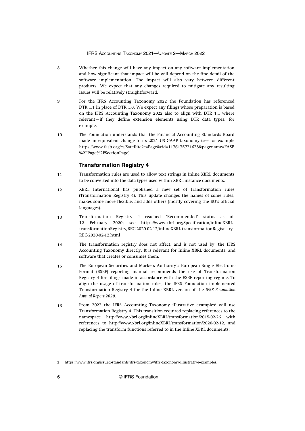#### IFRS ACCOUNTING TAXONOMY 2021—UPDATE 2—MARCH 2022

- <span id="page-6-0"></span>Whether this change will have any impact on any software implementation and how significant that impact will be will depend on the fine detail of the software implementation. The impact will also vary between different products. We expect that any changes required to mitigate any resulting issues will be relatively straightforward. 8
- For the IFRS Accounting Taxonomy 2022 the Foundation has referenced DTR 1.1 in place of DTR 1.0. We expect any filings whose preparation is based on the IFRS Accounting Taxonomy 2022 also to align with DTR 1.1 where relevant—if they define extension elements using DTR data types, for example. 9
- The Foundation understands that the Financial Accounting Standards Board made an equivalent change to its 2021 US GAAP taxonomy (see for example [https://www.fasb.org/cs/Satellite?c=Page&cid=1176175721628&pagename=FASB](https://www.fasb.org/cs/Satellite?c=Page&cid=1176175721628&pagename=FASB%2FPage%2FSectionPage) [%2FPage%2FSectionPage](https://www.fasb.org/cs/Satellite?c=Page&cid=1176175721628&pagename=FASB%2FPage%2FSectionPage)). 10

#### **Transformation Registry 4**

- Transformation rules are used to allow text strings in Inline XBRL documents to be converted into the data types used within XBRL instance documents. 11
- XBRL International has published a new set of transformation rules (Transformation Registry 4). This update changes the names of some rules, makes some more flexible, and adds others (mostly covering the EU's official languages). 12
- 13 Transformation Registry 4 reached 'Recommended' status as of 12 February 2020; see https://www.xbrl.org/Specification/inlineXBRLtransformationRegistry/REC-2020-02-12/inlineXBRL-transformationRegist ry-REC-2020-02-12.html
- The transformation registry does not affect, and is not used by, the IFRS Accounting Taxonomy directly. It is relevant for Inline XBRL documents, and software that creates or consumes them. 14
- The European Securities and Markets Authority's European Single Electronic Format (ESEF) reporting manual recommends the use of Transformation Registry 4 for filings made in accordance with the ESEF reporting regime. To align the usage of transformation rules, the IFRS Foundation implemented Transformation Registry 4 for the Inline XBRL version of the *IFRS Foundation Annual Report 2020*. 15
- From 2022 the IFRS Accounting Taxonomy illustrative examples<sup>2</sup> will use Transformation Registry 4. This transition required replacing references to the namespace http://www.xbrl.org/inlineXBRL/transformation/2015-02-26 with references to http://www.xbrl.org/inlineXBRL/transformation/2020-02-12, and replacing the transform functions referred to in the Inline XBRL documents: 16

<sup>2</sup><https://www.ifrs.org/issued-standards/ifrs-taxonomy/ifrs-taxonomy-illustrative-examples/>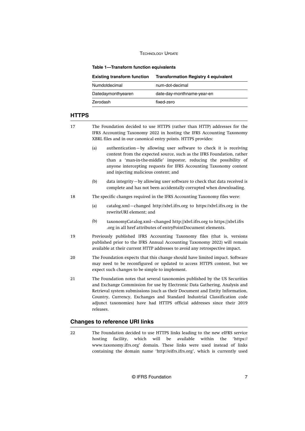#### <span id="page-7-0"></span>**Table 1—Transform function equivalents**

| <b>Existing transform function</b> | <b>Transformation Registry 4 equivalent</b> |
|------------------------------------|---------------------------------------------|
| Numdotdecimal                      | num-dot-decimal                             |
| Datedaymonthyearen                 | date-day-monthname-year-en                  |
| Zerodash                           | fixed-zero                                  |
|                                    |                                             |

#### **HTTPS**

- The Foundation decided to use HTTPS (rather than HTTP) addresses for the IFRS Accounting Taxonomy 2022 in hosting the IFRS Accounting Taxonomy XBRL files and in our canonical entry points. HTTPS provides: 17
	- (a) authentication—by allowing user software to check it is receiving content from the expected source, such as the IFRS Foundation, rather than a 'man-in-the-middle' impostor, reducing the possibility of anyone intercepting requests for IFRS Accounting Taxonomy content and injecting malicious content; and
	- (b) data integrity—by allowing user software to check that data received is complete and has not been accidentally corrupted when downloading.
- The specific changes required in the IFRS Accounting Taxonomy files were: 18
	- (a) catalog.xml—changed http://xbrl.ifrs.org to https://xbrl.ifrs.org in the rewriteURI element; and
	- (b) taxonomyCatalog.xml—changed http://xbrl.ifrs.org to https://xbrl.ifrs .org in all href attributes of entryPointDocument elements.
- Previously published IFRS Accounting Taxonomy files (that is, versions published prior to the IFRS Annual Accounting Taxonomy 2022) will remain available at their current HTTP addresses to avoid any retrospective impact. 19
- The Foundation expects that this change should have limited impact. Software may need to be reconfigured or updated to access HTTPS content, but we expect such changes to be simple to implement. 20
- The Foundation notes that several taxonomies published by the US Securities and Exchange Commission for use by Electronic Data Gathering, Analysis and Retrieval system submissions (such as their Document and Entity Information, Country, Currency, Exchanges and Standard Industrial Classification code adjunct taxonomies) have had HTTPS official addresses since their 2019 releases. 21

#### **Changes to reference URI links**

The Foundation decided to use HTTPS links leading to the new eIFRS service hosting facility, which will be available within the 'https:// www.taxonomy.ifrs.org' domain. These links were used instead of links containing the domain name 'http://eifrs.ifrs.org', which is currently used 22

© IFRS Foundation 7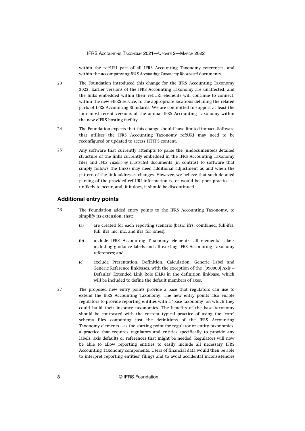within the ref:URI part of all IFRS Accounting Taxonomy references, and within the accompanying *IFRS Accounting Taxonomy Illustrated* documents.

- <span id="page-8-0"></span>The Foundation introduced this change for the IFRS Accounting Taxonomy 2022. Earlier versions of the IFRS Accounting Taxonomy are unaffected, and the links embedded within their ref:URI elements will continue to connect, within the new eIFRS service, to the appropriate locations detailing the related parts of IFRS Accounting Standards. We are committed to support at least the four most recent versions of the annual IFRS Accounting Taxonomy within the new eIFRS hosting facility.  $2<sub>2</sub>$
- The Foundation expects that this change should have limited impact. Software that utilises the IFRS Accounting Taxonomy ref:URI may need to be reconfigured or updated to access HTTPS content.  $24$
- Any software that currently attempts to parse the (undocumented) detailed structure of the links currently embedded in the IFRS Accounting Taxonomy files and *IFRS Taxonomy Illustrated* documents (in contrast to software that simply follows the links) may need additional adjustment as and when the pattern of the link addresses changes. However, we believe that such detailed parsing of the provided ref:URI information is, or would be, poor practice, is unlikely to occur, and, if it does, it should be discontinued.  $25$

#### **Additional entry points**

- The Foundation added entry points to the IFRS Accounting Taxonomy, to simplify its extension, that: 26
	- (a) are created for each reporting scenario (basic\_ifrs, combined, full-ifrs, full ifrs mc, mc, and ifrs for smes);
	- (b) include IFRS Accounting Taxonomy elements, all elements' labels including guidance labels and all existing IFRS Accounting Taxonomy references; and
	- (c) exclude Presentation, Definition, Calculation, Generic Label and Generic Reference linkbases, with the exception of the '[990000] Axis – Defaults' Extended Link Role (ELR) in the definition linkbase, which will be included to define the default members of axes.
- The proposed new entry points provide a base that regulators can use to extend the IFRS Accounting Taxonomy. The new entry points also enable regulators to provide reporting entities with a 'base taxonomy' on which they could build their instance taxonomies. The benefits of the base taxonomy should be contrasted with the current typical practice of using the 'core' schema files—containing just the definitions of the IFRS Accounting Taxonomy elements—as the starting point for regulator or entity taxonomies, a practice that requires regulators and entities specifically to provide any labels, axis defaults or references that might be needed. Regulators will now be able to allow reporting entities to easily include all necessary IFRS Accounting Taxonomy components. Users of financial data would then be able to interpret reporting entities' filings and to avoid accidental inconsistencies 27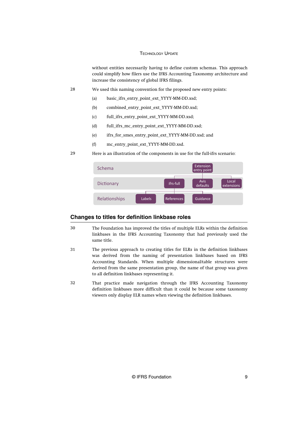without entities necessarily having to define custom schemas. This approach could simplify how filers use the IFRS Accounting Taxonomy architecture and increase the consistency of global IFRS filings.

<span id="page-9-0"></span>We used this naming convention for the proposed new entry points: 28

- (a) basic\_ifrs\_entry\_point\_ext\_YYYY-MM-DD.xsd;
- (b) combined\_entry\_point\_ext\_YYYY-MM-DD.xsd;
- (c) full\_ifrs\_entry\_point\_ext\_YYYY-MM-DD.xsd;
- (d) full\_ifrs\_mc\_entry\_point\_ext\_YYYY-MM-DD.xsd;
- (e) ifrs\_for\_smes\_entry\_point\_ext\_YYYY-MM-DD.xsd; and
- (f) mc\_entry\_point\_ext\_YYYY-MM-DD.xsd.

Here is an illustration of the components in use for the full-ifrs scenario:  $29$ 



#### **Changes to titles for definition linkbase roles**

- The Foundation has improved the titles of multiple ELRs within the definition linkbases in the IFRS Accounting Taxonomy that had previously used the same title. 30
- The previous approach to creating titles for ELRs in the definition linkbases was derived from the naming of presentation linkbases based on IFRS Accounting Standards. When multiple dimensional/table structures were derived from the same presentation group, the name of that group was given to all definition linkbases representing it. 31
- That practice made navigation through the IFRS Accounting Taxonomy definition linkbases more difficult than it could be because some taxonomy viewers only display ELR names when viewing the definition linkbases. 32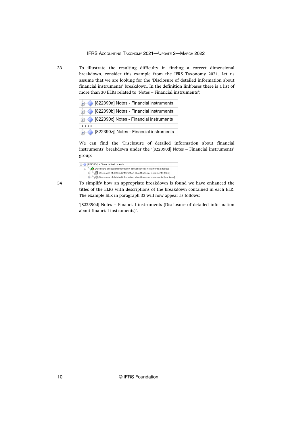To illustrate the resulting difficulty in finding a correct dimensional breakdown, consider this example from the IFRS Taxonomy 2021. Let us assume that we are looking for the 'Disclosure of detailed information about financial instruments' breakdown. In the definition linkbases there is a list of more than 30 ELRs related to 'Notes – Financial instruments':

|   | 由 822390a] Notes - Financial instruments  |
|---|-------------------------------------------|
|   | [+ 822390b] Notes - Financial instruments |
|   | 由 822390c] Notes - Financial instruments  |
| . |                                           |
|   |                                           |

We can find the 'Disclosure of detailed information about financial instruments' breakdown under the '[822390d] Notes – Financial instruments' group:

| B22390d] - Financial instruments                                            |
|-----------------------------------------------------------------------------|
| Disclosure of detailed information about financial instruments [abstract]   |
| Disclosure of detailed information about financial instruments [table]      |
| Disclosure of detailed information about financial instruments [line items] |
|                                                                             |

34

33

To simplify how an appropriate breakdown is found we have enhanced the titles of the ELRs with descriptions of the breakdown contained in each ELR. The example ELR in paragraph 33 will now appear as follows:

'[822390d] Notes – Financial instruments (Disclosure of detailed information about financial instruments)'.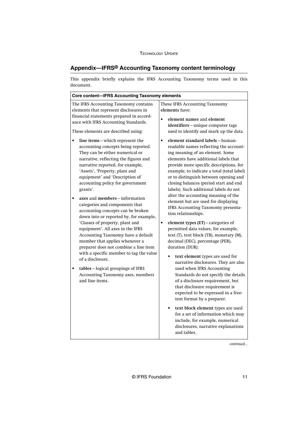## <span id="page-11-0"></span>**Appendix—IFRS® Accounting Taxonomy content terminology**

This appendix briefly explains the IFRS Accounting Taxonomy terms used in this document.

| Core content-IFRS Accounting Taxonomy elements                                                                                                                                                                                                                                                                                                                                                                                                                                                                                                                                                                                                     |                                                                                                                                                                                                                                                                                                                                                                                                                                                                                                                                                                                                                                                                                                                                |
|----------------------------------------------------------------------------------------------------------------------------------------------------------------------------------------------------------------------------------------------------------------------------------------------------------------------------------------------------------------------------------------------------------------------------------------------------------------------------------------------------------------------------------------------------------------------------------------------------------------------------------------------------|--------------------------------------------------------------------------------------------------------------------------------------------------------------------------------------------------------------------------------------------------------------------------------------------------------------------------------------------------------------------------------------------------------------------------------------------------------------------------------------------------------------------------------------------------------------------------------------------------------------------------------------------------------------------------------------------------------------------------------|
| The IFRS Accounting Taxonomy contains<br>elements that represent disclosures in<br>financial statements prepared in accord-<br>ance with IFRS Accounting Standards.<br>These elements are described using:                                                                                                                                                                                                                                                                                                                                                                                                                                         | These IFRS Accounting Taxonomy<br>elements have:<br>element names and element<br>identifiers-unique computer tags<br>used to identify and mark up the data.                                                                                                                                                                                                                                                                                                                                                                                                                                                                                                                                                                    |
| line items-which represent the<br>accounting concepts being reported.<br>They can be either numerical or<br>narrative, reflecting the figures and<br>narrative reported, for example,<br>'Assets', 'Property, plant and<br>equipment' and 'Description of<br>accounting policy for government<br>grants'.<br>axes and members-information<br>categories and components that<br>accounting concepts can be broken<br>down into or reported by, for example,<br>'Classes of property, plant and<br>equipment'. All axes in the IFRS<br>Accounting Taxonomy have a default<br>member that applies whenever a<br>preparer does not combine a line item | element standard labels-human-<br>$\bullet$<br>readable names reflecting the account-<br>ing meaning of an element. Some<br>elements have additional labels that<br>provide more specific descriptions, for<br>example, to indicate a total (total label)<br>or to distinguish between opening and<br>closing balances (period start and end<br>labels). Such additional labels do not<br>alter the accounting meaning of the<br>element but are used for displaying<br>IFRS Accounting Taxonomy presenta-<br>tion relationships.<br>element types (ET) - categories of<br>$\bullet$<br>permitted data values, for example,<br>text (T), text block (TB), monetary (M),<br>decimal (DEC), percentage (PER),<br>duration (DUR): |
| with a specific member to tag the value<br>of a disclosure.<br>tables-logical groupings of IFRS<br>Accounting Taxonomy axes, members<br>and line items.                                                                                                                                                                                                                                                                                                                                                                                                                                                                                            | text element types are used for<br>$\bullet$<br>narrative disclosures. They are also<br>used when IFRS Accounting<br>Standards do not specify the details<br>of a disclosure requirement, but<br>that disclosure requirement is<br>expected to be expressed in a free-<br>text format by a preparer.<br>text block element types are used<br>for a set of information which may<br>include, for example, numerical<br>disclosures, narrative explanations<br>and tables.                                                                                                                                                                                                                                                       |

*continued...*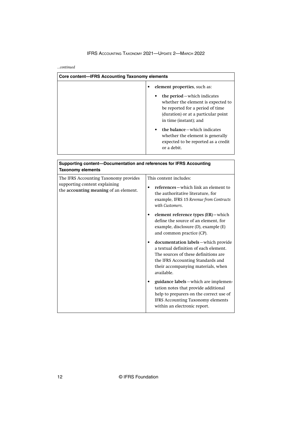#### IFRS ACCOUNTING TAXONOMY 2021—UPDATE 2—MARCH 2022

*...continued*

| Core content—IFRS Accounting Taxonomy elements                                                  |                                                                                                                                                                                                                                              |
|-------------------------------------------------------------------------------------------------|----------------------------------------------------------------------------------------------------------------------------------------------------------------------------------------------------------------------------------------------|
|                                                                                                 | element properties, such as:                                                                                                                                                                                                                 |
|                                                                                                 | the period – which indicates<br>whether the element is expected to<br>be reported for a period of time<br>(duration) or at a particular point<br>in time (instant); and<br>the balance – which indicates<br>whether the element is generally |
|                                                                                                 | expected to be reported as a credit<br>or a debit.                                                                                                                                                                                           |
|                                                                                                 |                                                                                                                                                                                                                                              |
| Supporting content—Documentation and references for IFRS Accounting<br><b>Taxonomy elements</b> |                                                                                                                                                                                                                                              |
| The IFRS Accounting Taxonomy provides                                                           | This content includes:                                                                                                                                                                                                                       |

| <b>laxonomy elements</b><br>The IFRS Accounting Taxonomy provides<br>supporting content explaining<br>the accounting meaning of an element. | This content includes:<br>references – which link an element to<br>the authoritative literature, for<br>example, IFRS 15 Revenue from Contracts<br>with Customers.<br>element reference types (ER) - which<br>define the source of an element, for<br>example, disclosure (D), example (E)<br>and common practice (CP).<br>documentation labels - which provide |
|---------------------------------------------------------------------------------------------------------------------------------------------|-----------------------------------------------------------------------------------------------------------------------------------------------------------------------------------------------------------------------------------------------------------------------------------------------------------------------------------------------------------------|
|                                                                                                                                             | a textual definition of each element.<br>The sources of these definitions are<br>the IFRS Accounting Standards and<br>their accompanying materials, when<br>available.                                                                                                                                                                                          |
|                                                                                                                                             | guidance labels – which are implemen-<br>tation notes that provide additional<br>help to preparers on the correct use of<br><b>IFRS Accounting Taxonomy elements</b><br>within an electronic report.                                                                                                                                                            |